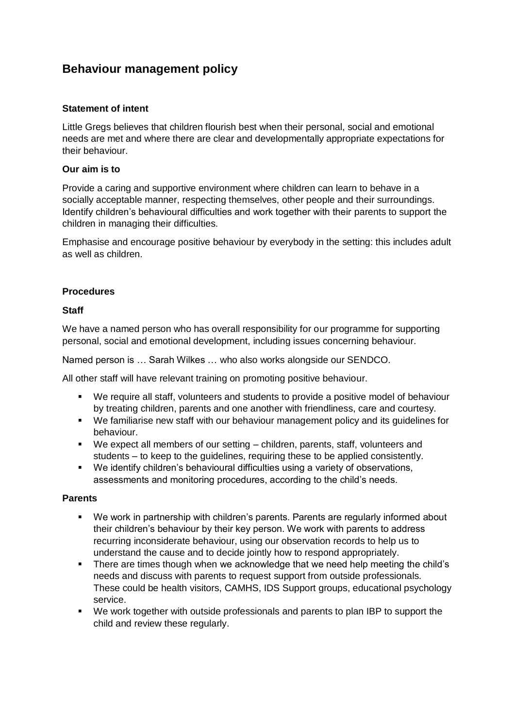# **Behaviour management policy**

### **Statement of intent**

Little Gregs believes that children flourish best when their personal, social and emotional needs are met and where there are clear and developmentally appropriate expectations for their behaviour.

### **Our aim is to**

Provide a caring and supportive environment where children can learn to behave in a socially acceptable manner, respecting themselves, other people and their surroundings. Identify children's behavioural difficulties and work together with their parents to support the children in managing their difficulties.

Emphasise and encourage positive behaviour by everybody in the setting: this includes adult as well as children.

### **Procedures**

### **Staff**

We have a named person who has overall responsibility for our programme for supporting personal, social and emotional development, including issues concerning behaviour.

Named person is … Sarah Wilkes … who also works alongside our SENDCO.

All other staff will have relevant training on promoting positive behaviour.

- We require all staff, volunteers and students to provide a positive model of behaviour by treating children, parents and one another with friendliness, care and courtesy.
- We familiarise new staff with our behaviour management policy and its guidelines for behaviour.
- We expect all members of our setting children, parents, staff, volunteers and students – to keep to the guidelines, requiring these to be applied consistently.
- We identify children's behavioural difficulties using a variety of observations, assessments and monitoring procedures, according to the child's needs.

### **Parents**

- We work in partnership with children's parents. Parents are regularly informed about their children's behaviour by their key person. We work with parents to address recurring inconsiderate behaviour, using our observation records to help us to understand the cause and to decide jointly how to respond appropriately.
- There are times though when we acknowledge that we need help meeting the child's needs and discuss with parents to request support from outside professionals. These could be health visitors, CAMHS, IDS Support groups, educational psychology service.
- We work together with outside professionals and parents to plan IBP to support the child and review these regularly.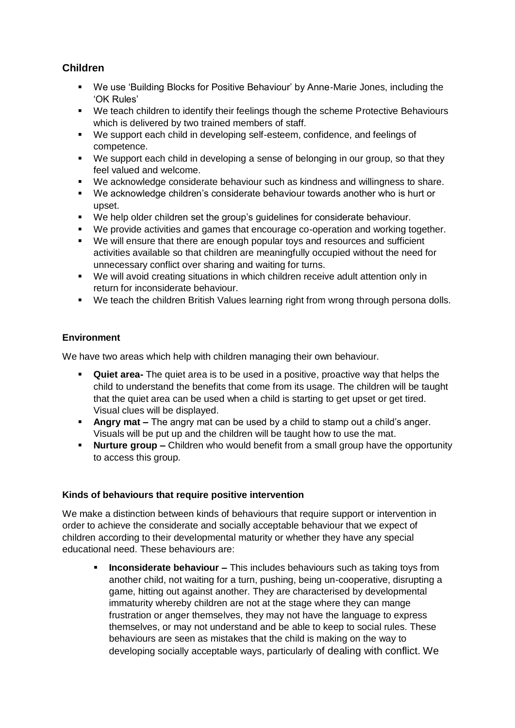## **Children**

- We use 'Building Blocks for Positive Behaviour' by Anne-Marie Jones, including the 'OK Rules'
- We teach children to identify their feelings though the scheme Protective Behaviours which is delivered by two trained members of staff.
- We support each child in developing self-esteem, confidence, and feelings of competence.
- We support each child in developing a sense of belonging in our group, so that they feel valued and welcome.
- We acknowledge considerate behaviour such as kindness and willingness to share.
- We acknowledge children's considerate behaviour towards another who is hurt or upset.
- We help older children set the group's guidelines for considerate behaviour.
- We provide activities and games that encourage co-operation and working together.
- We will ensure that there are enough popular toys and resources and sufficient activities available so that children are meaningfully occupied without the need for unnecessary conflict over sharing and waiting for turns.
- We will avoid creating situations in which children receive adult attention only in return for inconsiderate behaviour.
- We teach the children British Values learning right from wrong through persona dolls.

## **Environment**

We have two areas which help with children managing their own behaviour.

- **Quiet area-** The quiet area is to be used in a positive, proactive way that helps the child to understand the benefits that come from its usage. The children will be taught that the quiet area can be used when a child is starting to get upset or get tired. Visual clues will be displayed.
- **Angry mat –** The angry mat can be used by a child to stamp out a child's anger. Visuals will be put up and the children will be taught how to use the mat.
- **Nurture group –** Children who would benefit from a small group have the opportunity to access this group.

### **Kinds of behaviours that require positive intervention**

We make a distinction between kinds of behaviours that require support or intervention in order to achieve the considerate and socially acceptable behaviour that we expect of children according to their developmental maturity or whether they have any special educational need. These behaviours are:

 **Inconsiderate behaviour –** This includes behaviours such as taking toys from another child, not waiting for a turn, pushing, being un-cooperative, disrupting a game, hitting out against another. They are characterised by developmental immaturity whereby children are not at the stage where they can mange frustration or anger themselves, they may not have the language to express themselves, or may not understand and be able to keep to social rules. These behaviours are seen as mistakes that the child is making on the way to developing socially acceptable ways, particularly of dealing with conflict. We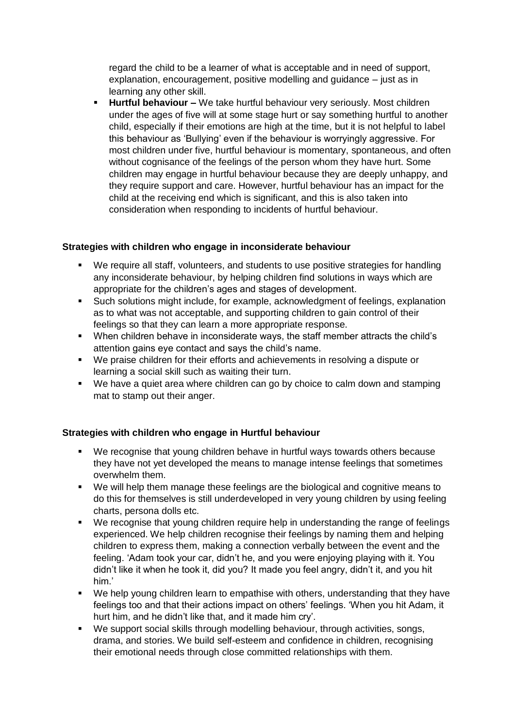regard the child to be a learner of what is acceptable and in need of support, explanation, encouragement, positive modelling and guidance – just as in learning any other skill.

 **Hurtful behaviour –** We take hurtful behaviour very seriously. Most children under the ages of five will at some stage hurt or say something hurtful to another child, especially if their emotions are high at the time, but it is not helpful to label this behaviour as 'Bullying' even if the behaviour is worryingly aggressive. For most children under five, hurtful behaviour is momentary, spontaneous, and often without cognisance of the feelings of the person whom they have hurt. Some children may engage in hurtful behaviour because they are deeply unhappy, and they require support and care. However, hurtful behaviour has an impact for the child at the receiving end which is significant, and this is also taken into consideration when responding to incidents of hurtful behaviour.

## **Strategies with children who engage in inconsiderate behaviour**

- We require all staff, volunteers, and students to use positive strategies for handling any inconsiderate behaviour, by helping children find solutions in ways which are appropriate for the children's ages and stages of development.
- Such solutions might include, for example, acknowledgment of feelings, explanation as to what was not acceptable, and supporting children to gain control of their feelings so that they can learn a more appropriate response.
- When children behave in inconsiderate ways, the staff member attracts the child's attention gains eye contact and says the child's name.
- We praise children for their efforts and achievements in resolving a dispute or learning a social skill such as waiting their turn.
- We have a quiet area where children can go by choice to calm down and stamping mat to stamp out their anger.

## **Strategies with children who engage in Hurtful behaviour**

- We recognise that young children behave in hurtful ways towards others because they have not yet developed the means to manage intense feelings that sometimes overwhelm them.
- We will help them manage these feelings are the biological and cognitive means to do this for themselves is still underdeveloped in very young children by using feeling charts, persona dolls etc.
- We recognise that young children require help in understanding the range of feelings experienced. We help children recognise their feelings by naming them and helping children to express them, making a connection verbally between the event and the feeling. 'Adam took your car, didn't he, and you were enjoying playing with it. You didn't like it when he took it, did you? It made you feel angry, didn't it, and you hit him.'
- We help young children learn to empathise with others, understanding that they have feelings too and that their actions impact on others' feelings. 'When you hit Adam, it hurt him, and he didn't like that, and it made him cry'.
- We support social skills through modelling behaviour, through activities, songs, drama, and stories. We build self-esteem and confidence in children, recognising their emotional needs through close committed relationships with them.